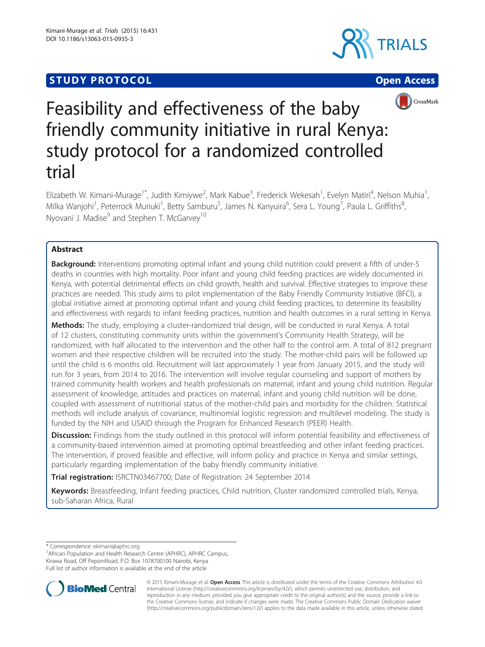# **STUDY PROTOCOL CONSUMING THE CONSUMING OPEN ACCESS**







# Feasibility and effectiveness of the baby friendly community initiative in rural Kenya: study protocol for a randomized controlled trial

Elizabeth W. Kimani-Murage<sup>1\*</sup>, Judith Kimiywe<sup>2</sup>, Mark Kabue<sup>3</sup>, Frederick Wekesah<sup>1</sup>, Evelyn Matiri<sup>4</sup>, Nelson Muhia<sup>1</sup> , Milka Wanjohi<sup>1</sup>, Peterrock Muriuki<sup>1</sup>, Betty Samburu<sup>5</sup>, James N. Kanyuira<sup>6</sup>, Sera L. Young<sup>7</sup>, Paula L. Griffiths<sup>8</sup> , Nyovani J. Madise<sup>9</sup> and Stephen T. McGarvey<sup>10</sup>

# Abstract

Background: Interventions promoting optimal infant and young child nutrition could prevent a fifth of under-5 deaths in countries with high mortality. Poor infant and young child feeding practices are widely documented in Kenya, with potential detrimental effects on child growth, health and survival. Effective strategies to improve these practices are needed. This study aims to pilot implementation of the Baby Friendly Community Initiative (BFCI), a global initiative aimed at promoting optimal infant and young child feeding practices, to determine its feasibility and effectiveness with regards to infant feeding practices, nutrition and health outcomes in a rural setting in Kenya.

Methods: The study, employing a cluster-randomized trial design, will be conducted in rural Kenya. A total of 12 clusters, constituting community units within the government's Community Health Strategy, will be randomized, with half allocated to the intervention and the other half to the control arm. A total of 812 pregnant women and their respective children will be recruited into the study. The mother-child pairs will be followed up until the child is 6 months old. Recruitment will last approximately 1 year from January 2015, and the study will run for 3 years, from 2014 to 2016. The intervention will involve regular counseling and support of mothers by trained community health workers and health professionals on maternal, infant and young child nutrition. Regular assessment of knowledge, attitudes and practices on maternal, infant and young child nutrition will be done, coupled with assessment of nutritional status of the mother-child pairs and morbidity for the children. Statistical methods will include analysis of covariance, multinomial logistic regression and multilevel modeling. The study is funded by the NIH and USAID through the Program for Enhanced Research (PEER) Health.

Discussion: Findings from the study outlined in this protocol will inform potential feasibility and effectiveness of a community-based intervention aimed at promoting optimal breastfeeding and other infant feeding practices. The intervention, if proved feasible and effective, will inform policy and practice in Kenya and similar settings, particularly regarding implementation of the baby friendly community initiative.

Trial registration: [ISRCTN03467700](http://bit.ly/1FFiqZp); Date of Registration: 24 September 2014

Keywords: Breastfeeding, Infant feeding practices, Child nutrition, Cluster randomized controlled trials, Kenya, sub-Saharan Africa, Rural

\* Correspondence: [ekimani@aphrc.org](mailto:ekimani@aphrc.org) <sup>1</sup>

<sup>1</sup> African Population and Health Research Centre (APHRC), APHRC Campus, Kirawa Road, Off PeponiRoad, P.O. Box 1078700100 Nairobi, Kenya Full list of author information is available at the end of the article



© 2015 Kimani-Murage et al. Open Access This article is distributed under the terms of the Creative Commons Attribution 4.0 International License [\(http://creativecommons.org/licenses/by/4.0/](http://creativecommons.org/licenses/by/4.0/)), which permits unrestricted use, distribution, and reproduction in any medium, provided you give appropriate credit to the original author(s) and the source, provide a link to the Creative Commons license, and indicate if changes were made. The Creative Commons Public Domain Dedication waiver [\(http://creativecommons.org/publicdomain/zero/1.0/](http://creativecommons.org/publicdomain/zero/1.0/)) applies to the data made available in this article, unless otherwise stated.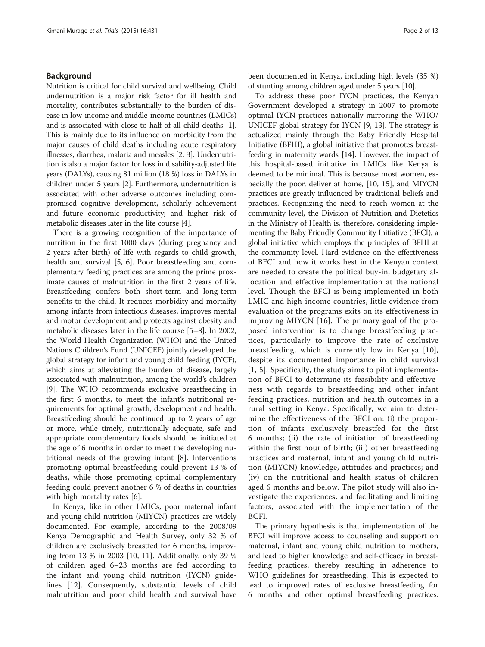#### Background

Nutrition is critical for child survival and wellbeing. Child undernutrition is a major risk factor for ill health and mortality, contributes substantially to the burden of disease in low-income and middle-income countries (LMICs) and is associated with close to half of all child deaths [[1](#page-11-0)]. This is mainly due to its influence on morbidity from the major causes of child deaths including acute respiratory illnesses, diarrhea, malaria and measles [\[2](#page-11-0), [3\]](#page-11-0). Undernutrition is also a major factor for loss in disability-adjusted life years (DALYs), causing 81 million (18 %) loss in DALYs in children under 5 years [\[2](#page-11-0)]. Furthermore, undernutrition is associated with other adverse outcomes including compromised cognitive development, scholarly achievement and future economic productivity; and higher risk of metabolic diseases later in the life course [\[4](#page-11-0)].

There is a growing recognition of the importance of nutrition in the first 1000 days (during pregnancy and 2 years after birth) of life with regards to child growth, health and survival [[5](#page-11-0), [6](#page-11-0)]. Poor breastfeeding and complementary feeding practices are among the prime proximate causes of malnutrition in the first 2 years of life. Breastfeeding confers both short-term and long-term benefits to the child. It reduces morbidity and mortality among infants from infectious diseases, improves mental and motor development and protects against obesity and metabolic diseases later in the life course [[5](#page-11-0)–[8](#page-11-0)]. In 2002, the World Health Organization (WHO) and the United Nations Children's Fund (UNICEF) jointly developed the global strategy for infant and young child feeding (IYCF), which aims at alleviating the burden of disease, largely associated with malnutrition, among the world's children [[9\]](#page-11-0). The WHO recommends exclusive breastfeeding in the first 6 months, to meet the infant's nutritional requirements for optimal growth, development and health. Breastfeeding should be continued up to 2 years of age or more, while timely, nutritionally adequate, safe and appropriate complementary foods should be initiated at the age of 6 months in order to meet the developing nutritional needs of the growing infant [\[8\]](#page-11-0). Interventions promoting optimal breastfeeding could prevent 13 % of deaths, while those promoting optimal complementary feeding could prevent another 6 % of deaths in countries with high mortality rates [\[6\]](#page-11-0).

In Kenya, like in other LMICs, poor maternal infant and young child nutrition (MIYCN) practices are widely documented. For example, according to the 2008/09 Kenya Demographic and Health Survey, only 32 % of children are exclusively breastfed for 6 months, improving from 13 % in 2003 [[10, 11](#page-11-0)]. Additionally, only 39 % of children aged 6–23 months are fed according to the infant and young child nutrition (IYCN) guidelines [[12\]](#page-11-0). Consequently, substantial levels of child malnutrition and poor child health and survival have been documented in Kenya, including high levels (35 %) of stunting among children aged under 5 years [[10](#page-11-0)].

To address these poor IYCN practices, the Kenyan Government developed a strategy in 2007 to promote optimal IYCN practices nationally mirroring the WHO/ UNICEF global strategy for IYCN [[9, 13\]](#page-11-0). The strategy is actualized mainly through the Baby Friendly Hospital Initiative (BFHI), a global initiative that promotes breastfeeding in maternity wards [[14\]](#page-11-0). However, the impact of this hospital-based initiative in LMICs like Kenya is deemed to be minimal. This is because most women, especially the poor, deliver at home, [\[10](#page-11-0), [15\]](#page-11-0), and MIYCN practices are greatly influenced by traditional beliefs and practices. Recognizing the need to reach women at the community level, the Division of Nutrition and Dietetics in the Ministry of Health is, therefore, considering implementing the Baby Friendly Community Initiative (BFCI), a global initiative which employs the principles of BFHI at the community level. Hard evidence on the effectiveness of BFCI and how it works best in the Kenyan context are needed to create the political buy-in, budgetary allocation and effective implementation at the national level. Though the BFCI is being implemented in both LMIC and high-income countries, little evidence from evaluation of the programs exits on its effectiveness in improving MIYCN [[16\]](#page-11-0). The primary goal of the proposed intervention is to change breastfeeding practices, particularly to improve the rate of exclusive breastfeeding, which is currently low in Kenya [[10](#page-11-0)], despite its documented importance in child survival [[1](#page-11-0), [5\]](#page-11-0). Specifically, the study aims to pilot implementation of BFCI to determine its feasibility and effectiveness with regards to breastfeeding and other infant feeding practices, nutrition and health outcomes in a rural setting in Kenya. Specifically, we aim to determine the effectiveness of the BFCI on: (i) the proportion of infants exclusively breastfed for the first 6 months; (ii) the rate of initiation of breastfeeding within the first hour of birth; (iii) other breastfeeding practices and maternal, infant and young child nutrition (MIYCN) knowledge, attitudes and practices; and (iv) on the nutritional and health status of children aged 6 months and below. The pilot study will also investigate the experiences, and facilitating and limiting factors, associated with the implementation of the BCFI.

The primary hypothesis is that implementation of the BFCI will improve access to counseling and support on maternal, infant and young child nutrition to mothers, and lead to higher knowledge and self-efficacy in breastfeeding practices, thereby resulting in adherence to WHO guidelines for breastfeeding. This is expected to lead to improved rates of exclusive breastfeeding for 6 months and other optimal breastfeeding practices.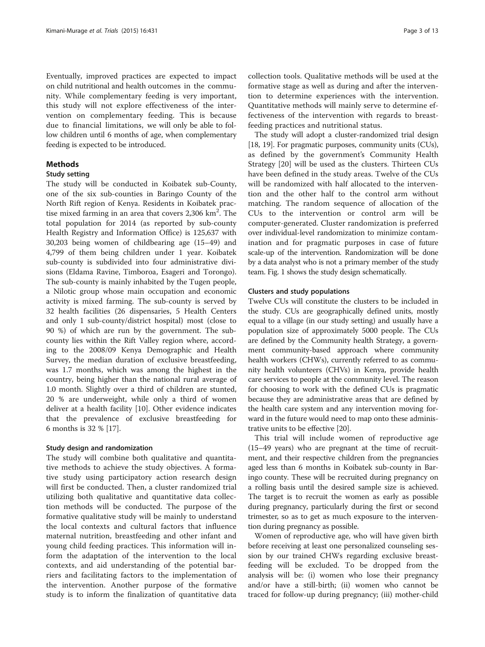Eventually, improved practices are expected to impact on child nutritional and health outcomes in the community. While complementary feeding is very important, this study will not explore effectiveness of the intervention on complementary feeding. This is because due to financial limitations, we will only be able to follow children until 6 months of age, when complementary feeding is expected to be introduced.

# **Methods**

#### Study setting

The study will be conducted in Koibatek sub-County, one of the six sub-counties in Baringo County of the North Rift region of Kenya. Residents in Koibatek practise mixed farming in an area that covers 2,306 km<sup>2</sup>. The total population for 2014 (as reported by sub-county Health Registry and Information Office) is 125,637 with 30,203 being women of childbearing age (15–49) and 4,799 of them being children under 1 year. Koibatek sub-county is subdivided into four administrative divisions (Eldama Ravine, Timboroa, Esageri and Torongo). The sub-county is mainly inhabited by the Tugen people, a Nilotic group whose main occupation and economic activity is mixed farming. The sub-county is served by 32 health facilities (26 dispensaries, 5 Health Centers and only 1 sub-county/district hospital) most (close to 90 %) of which are run by the government. The subcounty lies within the Rift Valley region where, according to the 2008/09 Kenya Demographic and Health Survey, the median duration of exclusive breastfeeding, was 1.7 months, which was among the highest in the country, being higher than the national rural average of 1.0 month. Slightly over a third of children are stunted, 20 % are underweight, while only a third of women deliver at a health facility [\[10\]](#page-11-0). Other evidence indicates that the prevalence of exclusive breastfeeding for 6 months is 32 % [\[17](#page-12-0)].

### Study design and randomization

The study will combine both qualitative and quantitative methods to achieve the study objectives. A formative study using participatory action research design will first be conducted. Then, a cluster randomized trial utilizing both qualitative and quantitative data collection methods will be conducted. The purpose of the formative qualitative study will be mainly to understand the local contexts and cultural factors that influence maternal nutrition, breastfeeding and other infant and young child feeding practices. This information will inform the adaptation of the intervention to the local contexts, and aid understanding of the potential barriers and facilitating factors to the implementation of the intervention. Another purpose of the formative study is to inform the finalization of quantitative data

collection tools. Qualitative methods will be used at the formative stage as well as during and after the intervention to determine experiences with the intervention. Quantitative methods will mainly serve to determine effectiveness of the intervention with regards to breastfeeding practices and nutritional status.

The study will adopt a cluster-randomized trial design [[18](#page-12-0), [19](#page-12-0)]. For pragmatic purposes, community units (CUs), as defined by the government's Community Health Strategy [[20](#page-12-0)] will be used as the clusters. Thirteen CUs have been defined in the study areas. Twelve of the CUs will be randomized with half allocated to the intervention and the other half to the control arm without matching. The random sequence of allocation of the CUs to the intervention or control arm will be computer-generated. Cluster randomization is preferred over individual-level randomization to minimize contamination and for pragmatic purposes in case of future scale-up of the intervention. Randomization will be done by a data analyst who is not a primary member of the study team. Fig. [1](#page-3-0) shows the study design schematically.

#### Clusters and study populations

Twelve CUs will constitute the clusters to be included in the study. CUs are geographically defined units, mostly equal to a village (in our study setting) and usually have a population size of approximately 5000 people. The CUs are defined by the Community health Strategy, a government community-based approach where community health workers (CHWs), currently referred to as community health volunteers (CHVs) in Kenya, provide health care services to people at the community level. The reason for choosing to work with the defined CUs is pragmatic because they are administrative areas that are defined by the health care system and any intervention moving forward in the future would need to map onto these administrative units to be effective [\[20](#page-12-0)].

This trial will include women of reproductive age (15–49 years) who are pregnant at the time of recruitment, and their respective children from the pregnancies aged less than 6 months in Koibatek sub-county in Baringo county. These will be recruited during pregnancy on a rolling basis until the desired sample size is achieved. The target is to recruit the women as early as possible during pregnancy, particularly during the first or second trimester, so as to get as much exposure to the intervention during pregnancy as possible.

Women of reproductive age, who will have given birth before receiving at least one personalized counseling session by our trained CHWs regarding exclusive breastfeeding will be excluded. To be dropped from the analysis will be: (i) women who lose their pregnancy and/or have a still-birth; (ii) women who cannot be traced for follow-up during pregnancy; (iii) mother-child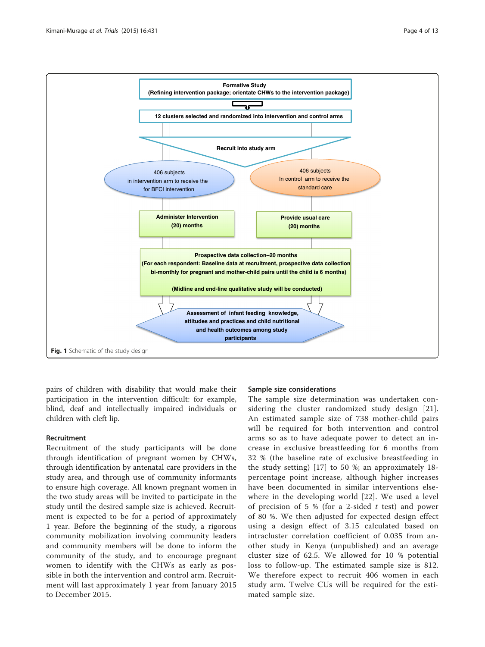<span id="page-3-0"></span>

pairs of children with disability that would make their participation in the intervention difficult: for example, blind, deaf and intellectually impaired individuals or children with cleft lip.

#### Recruitment

Recruitment of the study participants will be done through identification of pregnant women by CHWs, through identification by antenatal care providers in the study area, and through use of community informants to ensure high coverage. All known pregnant women in the two study areas will be invited to participate in the study until the desired sample size is achieved. Recruitment is expected to be for a period of approximately 1 year. Before the beginning of the study, a rigorous community mobilization involving community leaders and community members will be done to inform the community of the study, and to encourage pregnant women to identify with the CHWs as early as possible in both the intervention and control arm. Recruitment will last approximately 1 year from January 2015 to December 2015.

#### Sample size considerations

The sample size determination was undertaken considering the cluster randomized study design [[21](#page-12-0)]. An estimated sample size of 738 mother-child pairs will be required for both intervention and control arms so as to have adequate power to detect an increase in exclusive breastfeeding for 6 months from 32 % (the baseline rate of exclusive breastfeeding in the study setting) [\[17](#page-12-0)] to 50 %; an approximately 18 percentage point increase, although higher increases have been documented in similar interventions elsewhere in the developing world [\[22\]](#page-12-0). We used a level of precision of 5 % (for a 2-sided  $t$  test) and power of 80 %. We then adjusted for expected design effect using a design effect of 3.15 calculated based on intracluster correlation coefficient of 0.035 from another study in Kenya (unpublished) and an average cluster size of 62.5. We allowed for 10 % potential loss to follow-up. The estimated sample size is 812. We therefore expect to recruit 406 women in each study arm. Twelve CUs will be required for the estimated sample size.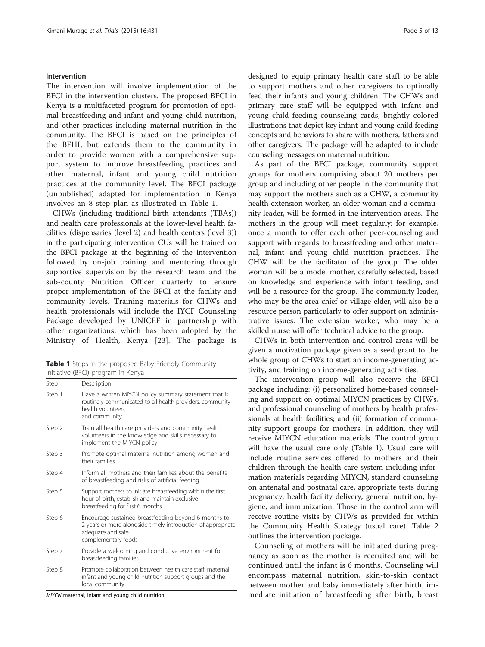#### Intervention

The intervention will involve implementation of the BFCI in the intervention clusters. The proposed BFCI in Kenya is a multifaceted program for promotion of optimal breastfeeding and infant and young child nutrition, and other practices including maternal nutrition in the community. The BFCI is based on the principles of the BFHI, but extends them to the community in order to provide women with a comprehensive support system to improve breastfeeding practices and other maternal, infant and young child nutrition practices at the community level. The BFCI package (unpublished) adapted for implementation in Kenya involves an 8-step plan as illustrated in Table 1.

CHWs (including traditional birth attendants (TBAs)) and health care professionals at the lower-level health facilities (dispensaries (level 2) and health centers (level 3)) in the participating intervention CUs will be trained on the BFCI package at the beginning of the intervention followed by on-job training and mentoring through supportive supervision by the research team and the sub-county Nutrition Officer quarterly to ensure proper implementation of the BFCI at the facility and community levels. Training materials for CHWs and health professionals will include the IYCF Counseling Package developed by UNICEF in partnership with other organizations, which has been adopted by the Ministry of Health, Kenya [\[23](#page-12-0)]. The package is

Table 1 Steps in the proposed Baby Friendly Community Initiative (BFCI) program in Kenya

| Step   | Description                                                                                                                                                       |
|--------|-------------------------------------------------------------------------------------------------------------------------------------------------------------------|
| Step 1 | Have a written MIYCN policy summary statement that is<br>routinely communicated to all health providers, community<br>health volunteers<br>and community          |
| Step 2 | Train all health care providers and community health<br>volunteers in the knowledge and skills necessary to<br>implement the MIYCN policy                         |
| Step 3 | Promote optimal maternal nutrition among women and<br>their families                                                                                              |
| Step 4 | Inform all mothers and their families about the benefits<br>of breastfeeding and risks of artificial feeding                                                      |
| Step 5 | Support mothers to initiate breastfeeding within the first<br>hour of birth, establish and maintain exclusive<br>breastfeeding for first 6 months                 |
| Step 6 | Encourage sustained breastfeeding beyond 6 months to<br>2 years or more alongside timely introduction of appropriate,<br>adequate and safe<br>complementary foods |
| Step 7 | Provide a welcoming and conducive environment for<br>breastfeeding families                                                                                       |
| Step 8 | Promote collaboration between health care staff, maternal,<br>infant and young child nutrition support groups and the<br>local community                          |

MIYCN maternal, infant and young child nutrition

designed to equip primary health care staff to be able to support mothers and other caregivers to optimally feed their infants and young children. The CHWs and primary care staff will be equipped with infant and young child feeding counseling cards; brightly colored illustrations that depict key infant and young child feeding concepts and behaviors to share with mothers, fathers and other caregivers. The package will be adapted to include counseling messages on maternal nutrition.

As part of the BFCI package, community support groups for mothers comprising about 20 mothers per group and including other people in the community that may support the mothers such as a CHW, a community health extension worker, an older woman and a community leader, will be formed in the intervention areas. The mothers in the group will meet regularly: for example, once a month to offer each other peer-counseling and support with regards to breastfeeding and other maternal, infant and young child nutrition practices. The CHW will be the facilitator of the group. The older woman will be a model mother, carefully selected, based on knowledge and experience with infant feeding, and will be a resource for the group. The community leader, who may be the area chief or village elder, will also be a resource person particularly to offer support on administrative issues. The extension worker, who may be a skilled nurse will offer technical advice to the group.

CHWs in both intervention and control areas will be given a motivation package given as a seed grant to the whole group of CHWs to start an income-generating activity, and training on income-generating activities.

The intervention group will also receive the BFCI package including: (i) personalized home-based counseling and support on optimal MIYCN practices by CHWs, and professional counseling of mothers by health professionals at health facilities; and (ii) formation of community support groups for mothers. In addition, they will receive MIYCN education materials. The control group will have the usual care only (Table 1). Usual care will include routine services offered to mothers and their children through the health care system including information materials regarding MIYCN, standard counseling on antenatal and postnatal care, appropriate tests during pregnancy, health facility delivery, general nutrition, hygiene, and immunization. Those in the control arm will receive routine visits by CHWs as provided for within the Community Health Strategy (usual care). Table [2](#page-5-0) outlines the intervention package.

Counseling of mothers will be initiated during pregnancy as soon as the mother is recruited and will be continued until the infant is 6 months. Counseling will encompass maternal nutrition, skin-to-skin contact between mother and baby immediately after birth, immediate initiation of breastfeeding after birth, breast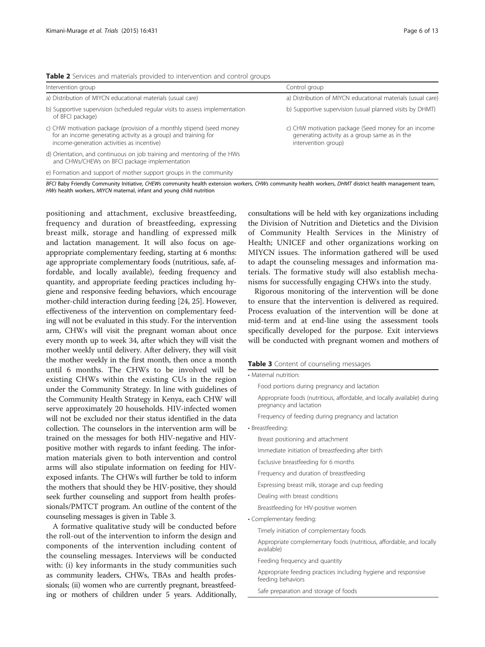<span id="page-5-0"></span>

|  |  |  |  |  |  | Table 2 Services and materials provided to intervention and control groups |  |  |  |  |
|--|--|--|--|--|--|----------------------------------------------------------------------------|--|--|--|--|
|--|--|--|--|--|--|----------------------------------------------------------------------------|--|--|--|--|

| Intervention group                                                                                                                                                                    | Control group                                                                                                               |
|---------------------------------------------------------------------------------------------------------------------------------------------------------------------------------------|-----------------------------------------------------------------------------------------------------------------------------|
| a) Distribution of MIYCN educational materials (usual care)                                                                                                                           | a) Distribution of MIYCN educational materials (usual care)                                                                 |
| b) Supportive supervision (scheduled regular visits to assess implementation<br>of BFCI package)                                                                                      | b) Supportive supervision (usual planned visits by DHMT)                                                                    |
| c) CHW motivation package (provision of a monthly stipend (seed money<br>for an income generating activity as a group) and training for<br>income-generation activities as incentive) | c) CHW motivation package (Seed money for an income<br>generating activity as a group same as in the<br>intervention group) |
| d) Orientation, and continuous on job training and mentoring of the HWs<br>and CHWs/CHEWs on BFCI package implementation                                                              |                                                                                                                             |
| e) Formation and support of mother support groups in the community                                                                                                                    |                                                                                                                             |

BFCI Baby Friendly Community Initiative, CHEWs community health extension workers, CHWs community health workers, DHMT district health management team, HWs health workers, MIYCN maternal, infant and young child nutrition

positioning and attachment, exclusive breastfeeding, frequency and duration of breastfeeding, expressing breast milk, storage and handling of expressed milk and lactation management. It will also focus on ageappropriate complementary feeding, starting at 6 months: age appropriate complementary foods (nutritious, safe, affordable, and locally available), feeding frequency and quantity, and appropriate feeding practices including hygiene and responsive feeding behaviors, which encourage mother-child interaction during feeding [\[24, 25](#page-12-0)]. However, effectiveness of the intervention on complementary feeding will not be evaluated in this study. For the intervention arm, CHWs will visit the pregnant woman about once every month up to week 34, after which they will visit the mother weekly until delivery. After delivery, they will visit the mother weekly in the first month, then once a month until 6 months. The CHWs to be involved will be existing CHWs within the existing CUs in the region under the Community Strategy. In line with guidelines of the Community Health Strategy in Kenya, each CHW will serve approximately 20 households. HIV-infected women will not be excluded nor their status identified in the data collection. The counselors in the intervention arm will be trained on the messages for both HIV-negative and HIVpositive mother with regards to infant feeding. The information materials given to both intervention and control arms will also stipulate information on feeding for HIVexposed infants. The CHWs will further be told to inform the mothers that should they be HIV-positive, they should seek further counseling and support from health professionals/PMTCT program. An outline of the content of the counseling messages is given in Table 3.

A formative qualitative study will be conducted before the roll-out of the intervention to inform the design and components of the intervention including content of the counseling messages. Interviews will be conducted with: (i) key informants in the study communities such as community leaders, CHWs, TBAs and health professionals; (ii) women who are currently pregnant, breastfeeding or mothers of children under 5 years. Additionally,

consultations will be held with key organizations including the Division of Nutrition and Dietetics and the Division of Community Health Services in the Ministry of Health; UNICEF and other organizations working on MIYCN issues. The information gathered will be used to adapt the counseling messages and information materials. The formative study will also establish mechanisms for successfully engaging CHWs into the study.

Rigorous monitoring of the intervention will be done to ensure that the intervention is delivered as required. Process evaluation of the intervention will be done at mid-term and at end-line using the assessment tools specifically developed for the purpose. Exit interviews will be conducted with pregnant women and mothers of

# Table 3 Content of counseling messages

| <b>Pable 3</b> Content of Counseling inessayes                                                      |
|-----------------------------------------------------------------------------------------------------|
| • Maternal nutrition:                                                                               |
| Food portions during pregnancy and lactation                                                        |
| Appropriate foods (nutritious, affordable, and locally available) during<br>pregnancy and lactation |
| Frequency of feeding during pregnancy and lactation                                                 |
| · Breastfeeding:                                                                                    |
| Breast positioning and attachment                                                                   |
| Immediate initiation of breastfeeding after birth                                                   |
| Exclusive breastfeeding for 6 months                                                                |
| Frequency and duration of breastfeeding                                                             |
| Expressing breast milk, storage and cup feeding                                                     |
| Dealing with breast conditions                                                                      |
| Breastfeeding for HIV-positive women                                                                |
| • Complementary feeding:                                                                            |
| Timely initiation of complementary foods                                                            |
| Appropriate complementary foods (nutritious, affordable, and locally<br>available)                  |
| Feeding frequency and quantity                                                                      |
| Appropriate feeding practices including hygiene and responsive<br>feeding behaviors                 |
| Safe preparation and storage of foods                                                               |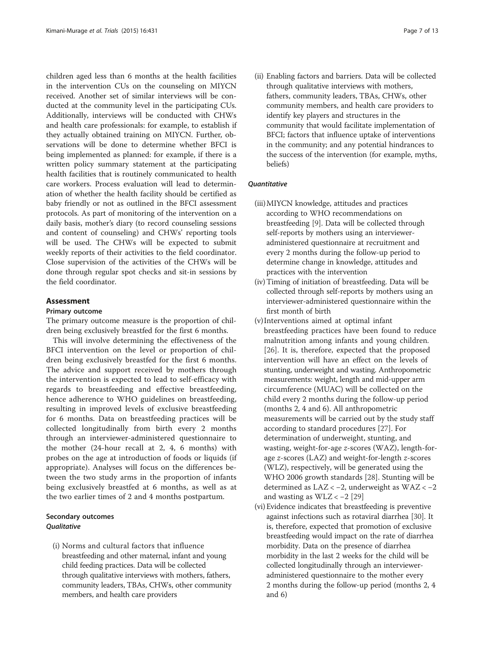children aged less than 6 months at the health facilities in the intervention CUs on the counseling on MIYCN received. Another set of similar interviews will be conducted at the community level in the participating CUs. Additionally, interviews will be conducted with CHWs and health care professionals: for example, to establish if they actually obtained training on MIYCN. Further, observations will be done to determine whether BFCI is being implemented as planned: for example, if there is a written policy summary statement at the participating health facilities that is routinely communicated to health care workers. Process evaluation will lead to determination of whether the health facility should be certified as baby friendly or not as outlined in the BFCI assessment protocols. As part of monitoring of the intervention on a daily basis, mother's diary (to record counseling sessions and content of counseling) and CHWs' reporting tools will be used. The CHWs will be expected to submit weekly reports of their activities to the field coordinator. Close supervision of the activities of the CHWs will be done through regular spot checks and sit-in sessions by the field coordinator.

### Assessment

# Primary outcome

The primary outcome measure is the proportion of children being exclusively breastfed for the first 6 months.

This will involve determining the effectiveness of the BFCI intervention on the level or proportion of children being exclusively breastfed for the first 6 months. The advice and support received by mothers through the intervention is expected to lead to self-efficacy with regards to breastfeeding and effective breastfeeding, hence adherence to WHO guidelines on breastfeeding, resulting in improved levels of exclusive breastfeeding for 6 months. Data on breastfeeding practices will be collected longitudinally from birth every 2 months through an interviewer-administered questionnaire to the mother (24-hour recall at 2, 4, 6 months) with probes on the age at introduction of foods or liquids (if appropriate). Analyses will focus on the differences between the two study arms in the proportion of infants being exclusively breastfed at 6 months, as well as at the two earlier times of 2 and 4 months postpartum.

# Secondary outcomes **Qualitative**

(i) Norms and cultural factors that influence breastfeeding and other maternal, infant and young child feeding practices. Data will be collected through qualitative interviews with mothers, fathers, community leaders, TBAs, CHWs, other community members, and health care providers

(ii) Enabling factors and barriers. Data will be collected through qualitative interviews with mothers, fathers, community leaders, TBAs, CHWs, other community members, and health care providers to identify key players and structures in the community that would facilitate implementation of BFCI; factors that influence uptake of interventions in the community; and any potential hindrances to the success of the intervention (for example, myths, beliefs)

#### **Ouantitative**

- (iii)MIYCN knowledge, attitudes and practices according to WHO recommendations on breastfeeding [[9](#page-11-0)]. Data will be collected through self-reports by mothers using an intervieweradministered questionnaire at recruitment and every 2 months during the follow-up period to determine change in knowledge, attitudes and practices with the intervention
- (iv) Timing of initiation of breastfeeding. Data will be collected through self-reports by mothers using an interviewer-administered questionnaire within the first month of birth
- (v) Interventions aimed at optimal infant breastfeeding practices have been found to reduce malnutrition among infants and young children. [[26](#page-12-0)]. It is, therefore, expected that the proposed intervention will have an effect on the levels of stunting, underweight and wasting. Anthropometric measurements: weight, length and mid-upper arm circumference (MUAC) will be collected on the child every 2 months during the follow-up period (months 2, 4 and 6). All anthropometric measurements will be carried out by the study staff according to standard procedures [\[27](#page-12-0)]. For determination of underweight, stunting, and wasting, weight-for-age z-scores (WAZ), length-forage z-scores (LAZ) and weight-for-length z-scores (WLZ), respectively, will be generated using the WHO 2006 growth standards [\[28](#page-12-0)]. Stunting will be determined as LAZ < −2, underweight as WAZ < −2 and wasting as WLZ < −2 [\[29\]](#page-12-0)
- (vi) Evidence indicates that breastfeeding is preventive against infections such as rotaviral diarrhea [\[30\]](#page-12-0). It is, therefore, expected that promotion of exclusive breastfeeding would impact on the rate of diarrhea morbidity. Data on the presence of diarrhea morbidity in the last 2 weeks for the child will be collected longitudinally through an intervieweradministered questionnaire to the mother every 2 months during the follow-up period (months 2, 4 and 6)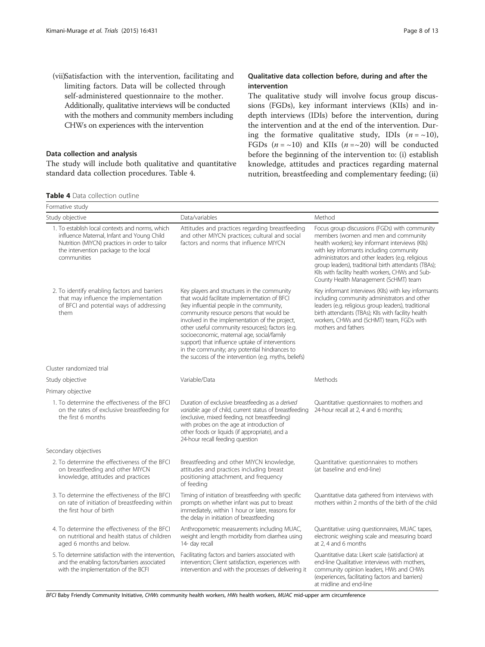<span id="page-7-0"></span>(vii)Satisfaction with the intervention, facilitating and limiting factors. Data will be collected through self-administered questionnaire to the mother. Additionally, qualitative interviews will be conducted with the mothers and community members including CHWs on experiences with the intervention

# Data collection and analysis

The study will include both qualitative and quantitative standard data collection procedures. Table 4.

## Qualitative data collection before, during and after the intervention

The qualitative study will involve focus group discussions (FGDs), key informant interviews (KIIs) and indepth interviews (IDIs) before the intervention, during the intervention and at the end of the intervention. During the formative qualitative study, IDIs  $(n = \sim 10)$ , FGDs  $(n = \sim 10)$  and KIIs  $(n = \sim 20)$  will be conducted before the beginning of the intervention to: (i) establish knowledge, attitudes and practices regarding maternal nutrition, breastfeeding and complementary feeding; (ii)

|  |  |  | <b>Table 4</b> Data collection outline |  |
|--|--|--|----------------------------------------|--|
|--|--|--|----------------------------------------|--|

| Formative study                                                                                                                                                                                         |                                                                                                                                                                                                                                                                                                                                                                                                                                                                                                       |                                                                                                                                                                                                                                                                                                                                                                                               |  |  |
|---------------------------------------------------------------------------------------------------------------------------------------------------------------------------------------------------------|-------------------------------------------------------------------------------------------------------------------------------------------------------------------------------------------------------------------------------------------------------------------------------------------------------------------------------------------------------------------------------------------------------------------------------------------------------------------------------------------------------|-----------------------------------------------------------------------------------------------------------------------------------------------------------------------------------------------------------------------------------------------------------------------------------------------------------------------------------------------------------------------------------------------|--|--|
| Study objective                                                                                                                                                                                         | Data/variables                                                                                                                                                                                                                                                                                                                                                                                                                                                                                        | Method                                                                                                                                                                                                                                                                                                                                                                                        |  |  |
| 1. To establish local contexts and norms, which<br>influence Maternal, Infant and Young Child<br>Nutrition (MIYCN) practices in order to tailor<br>the intervention package to the local<br>communities | Attitudes and practices regarding breastfeeding<br>and other MIYCN practices; cultural and social<br>factors and norms that influence MIYCN                                                                                                                                                                                                                                                                                                                                                           | Focus group discussions (FGDs) with community<br>members (women and men and community<br>health workers); key informant interviews (KIIs)<br>with key informants including community<br>administrators and other leaders (e.g. religious<br>group leaders), traditional birth attendants (TBAs);<br>Klls with facility health workers, CHWs and Sub-<br>County Health Management (ScHMT) team |  |  |
| 2. To identify enabling factors and barriers<br>that may influence the implementation<br>of BFCI and potential ways of addressing<br>them                                                               | Key players and structures in the community<br>that would facilitate implementation of BFCI<br>(key influential people in the community,<br>community resource persons that would be<br>involved in the implementation of the project,<br>other useful community resources); factors (e.g.<br>socioeconomic, maternal age, social/family<br>support) that influence uptake of interventions<br>in the community; any potential hindrances to<br>the success of the intervention (e.g. myths, beliefs) | Key informant interviews (KIIs) with key informants<br>including community administrators and other<br>leaders (e.g. religious group leaders), traditional<br>birth attendants (TBAs); Klls with facility health<br>workers, CHWs and (ScHMT) team, FGDs with<br>mothers and fathers                                                                                                          |  |  |
| Cluster randomized trial                                                                                                                                                                                |                                                                                                                                                                                                                                                                                                                                                                                                                                                                                                       |                                                                                                                                                                                                                                                                                                                                                                                               |  |  |
| Study objective                                                                                                                                                                                         | Variable/Data                                                                                                                                                                                                                                                                                                                                                                                                                                                                                         | Methods                                                                                                                                                                                                                                                                                                                                                                                       |  |  |
| Primary objective                                                                                                                                                                                       |                                                                                                                                                                                                                                                                                                                                                                                                                                                                                                       |                                                                                                                                                                                                                                                                                                                                                                                               |  |  |
| 1. To determine the effectiveness of the BFCI<br>on the rates of exclusive breastfeeding for<br>the first 6 months                                                                                      | Duration of exclusive breastfeeding as a <i>derived</i><br>variable: age of child, current status of breastfeeding<br>(exclusive, mixed feeding, not breastfeeding)<br>with probes on the age at introduction of<br>other foods or liquids (if appropriate), and a<br>24-hour recall feeding question                                                                                                                                                                                                 | Quantitative: questionnaires to mothers and<br>24-hour recall at 2, 4 and 6 months;                                                                                                                                                                                                                                                                                                           |  |  |
| Secondary objectives                                                                                                                                                                                    |                                                                                                                                                                                                                                                                                                                                                                                                                                                                                                       |                                                                                                                                                                                                                                                                                                                                                                                               |  |  |
| 2. To determine the effectiveness of the BFCI<br>on breastfeeding and other MIYCN<br>knowledge, attitudes and practices                                                                                 | Breastfeeding and other MIYCN knowledge,<br>attitudes and practices including breast<br>positioning attachment, and frequency<br>of feedina                                                                                                                                                                                                                                                                                                                                                           | Quantitative: questionnaires to mothers<br>(at baseline and end-line)                                                                                                                                                                                                                                                                                                                         |  |  |
| 3. To determine the effectiveness of the BFCI<br>on rate of initiation of breastfeeding within<br>the first hour of birth                                                                               | Timing of initiation of breastfeeding with specific<br>prompts on whether infant was put to breast<br>immediately, within 1 hour or later, reasons for<br>the delay in initiation of breastfeeding                                                                                                                                                                                                                                                                                                    | Quantitative data gathered from interviews with<br>mothers within 2 months of the birth of the child                                                                                                                                                                                                                                                                                          |  |  |
| 4. To determine the effectiveness of the BFCI<br>on nutritional and health status of children<br>aged 6 months and below.                                                                               | Anthropometric measurements including MUAC,<br>weight and length morbidity from diarrhea using<br>14- day recall                                                                                                                                                                                                                                                                                                                                                                                      | Quantitative: using questionnaires, MUAC tapes,<br>electronic weighing scale and measuring board<br>at 2.4 and 6 months                                                                                                                                                                                                                                                                       |  |  |
| 5. To determine satisfaction with the intervention,<br>and the enabling factors/barriers associated<br>with the implementation of the BCFI                                                              | Facilitating factors and barriers associated with<br>intervention; Client satisfaction, experiences with<br>intervention and with the processes of delivering it                                                                                                                                                                                                                                                                                                                                      | Quantitative data: Likert scale (satisfaction) at<br>end-line Qualitative: interviews with mothers,<br>community opinion leaders, HWs and CHWs<br>(experiences, facilitating factors and barriers)<br>at midline and end-line                                                                                                                                                                 |  |  |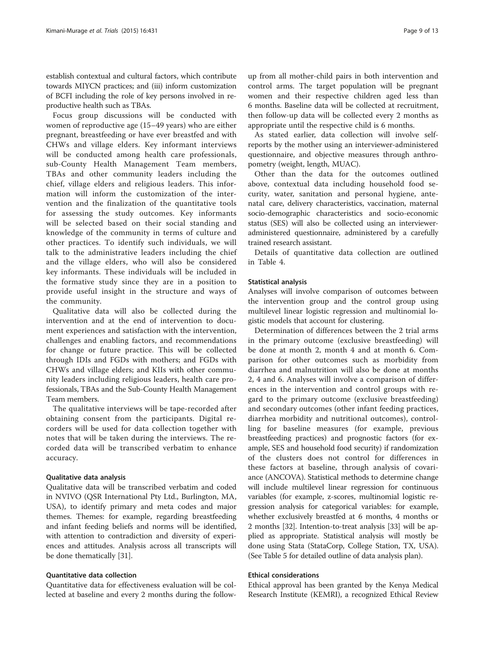establish contextual and cultural factors, which contribute towards MIYCN practices; and (iii) inform customization of BCFI including the role of key persons involved in reproductive health such as TBAs.

Focus group discussions will be conducted with women of reproductive age (15–49 years) who are either pregnant, breastfeeding or have ever breastfed and with CHWs and village elders. Key informant interviews will be conducted among health care professionals, sub-County Health Management Team members, TBAs and other community leaders including the chief, village elders and religious leaders. This information will inform the customization of the intervention and the finalization of the quantitative tools for assessing the study outcomes. Key informants will be selected based on their social standing and knowledge of the community in terms of culture and other practices. To identify such individuals, we will talk to the administrative leaders including the chief and the village elders, who will also be considered key informants. These individuals will be included in the formative study since they are in a position to provide useful insight in the structure and ways of the community.

Qualitative data will also be collected during the intervention and at the end of intervention to document experiences and satisfaction with the intervention, challenges and enabling factors, and recommendations for change or future practice. This will be collected through IDIs and FGDs with mothers; and FGDs with CHWs and village elders; and KIIs with other community leaders including religious leaders, health care professionals, TBAs and the Sub-County Health Management Team members.

The qualitative interviews will be tape-recorded after obtaining consent from the participants. Digital recorders will be used for data collection together with notes that will be taken during the interviews. The recorded data will be transcribed verbatim to enhance accuracy.

#### Qualitative data analysis

Qualitative data will be transcribed verbatim and coded in NVIVO (QSR International Pty Ltd., Burlington, MA, USA), to identify primary and meta codes and major themes. Themes: for example, regarding breastfeeding and infant feeding beliefs and norms will be identified, with attention to contradiction and diversity of experiences and attitudes. Analysis across all transcripts will be done thematically [[31\]](#page-12-0).

#### Quantitative data collection

Quantitative data for effectiveness evaluation will be collected at baseline and every 2 months during the followup from all mother-child pairs in both intervention and control arms. The target population will be pregnant women and their respective children aged less than 6 months. Baseline data will be collected at recruitment, then follow-up data will be collected every 2 months as appropriate until the respective child is 6 months.

As stated earlier, data collection will involve selfreports by the mother using an interviewer-administered questionnaire, and objective measures through anthropometry (weight, length, MUAC).

Other than the data for the outcomes outlined above, contextual data including household food security, water, sanitation and personal hygiene, antenatal care, delivery characteristics, vaccination, maternal socio-demographic characteristics and socio-economic status (SES) will also be collected using an intervieweradministered questionnaire, administered by a carefully trained research assistant.

Details of quantitative data collection are outlined in Table [4](#page-7-0).

#### Statistical analysis

Analyses will involve comparison of outcomes between the intervention group and the control group using multilevel linear logistic regression and multinomial logistic models that account for clustering.

Determination of differences between the 2 trial arms in the primary outcome (exclusive breastfeeding) will be done at month 2, month 4 and at month 6. Comparison for other outcomes such as morbidity from diarrhea and malnutrition will also be done at months 2, 4 and 6. Analyses will involve a comparison of differences in the intervention and control groups with regard to the primary outcome (exclusive breastfeeding) and secondary outcomes (other infant feeding practices, diarrhea morbidity and nutritional outcomes), controlling for baseline measures (for example, previous breastfeeding practices) and prognostic factors (for example, SES and household food security) if randomization of the clusters does not control for differences in these factors at baseline, through analysis of covariance (ANCOVA). Statistical methods to determine change will include multilevel linear regression for continuous variables (for example, z-scores, multinomial logistic regression analysis for categorical variables: for example, whether exclusively breastfed at 6 months, 4 months or 2 months [[32\]](#page-12-0). Intention-to-treat analysis [\[33\]](#page-12-0) will be applied as appropriate. Statistical analysis will mostly be done using Stata (StataCorp, College Station, TX, USA). (See Table [5](#page-9-0) for detailed outline of data analysis plan).

#### Ethical considerations

Ethical approval has been granted by the Kenya Medical Research Institute (KEMRI), a recognized Ethical Review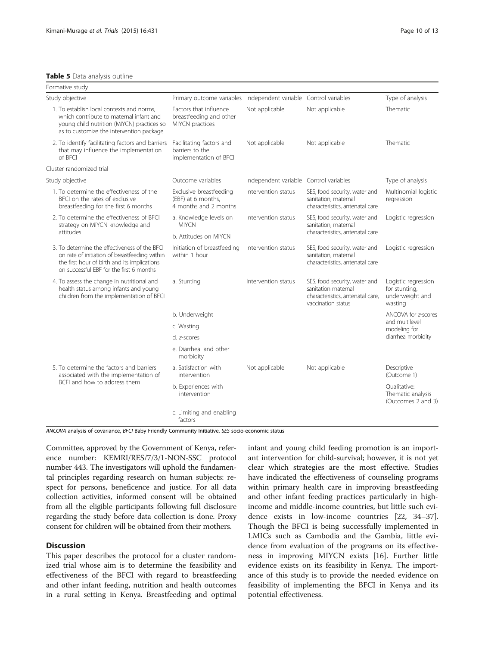#### <span id="page-9-0"></span>Table 5 Data analysis outline

| Formative study                                                                                                                                                                            |                                                                        |                                        |                                                                                                                |                                                                    |
|--------------------------------------------------------------------------------------------------------------------------------------------------------------------------------------------|------------------------------------------------------------------------|----------------------------------------|----------------------------------------------------------------------------------------------------------------|--------------------------------------------------------------------|
| Study objective                                                                                                                                                                            | Primary outcome variables Independent variable Control variables       |                                        |                                                                                                                | Type of analysis                                                   |
| 1. To establish local contexts and norms.<br>which contribute to maternal infant and<br>young child nutrition (MIYCN) practices so<br>as to customize the intervention package             | Factors that influence<br>breastfeeding and other<br>MIYCN practices   | Not applicable                         | Not applicable                                                                                                 | Thematic                                                           |
| 2. To identify facilitating factors and barriers<br>that may influence the implementation<br>of BFCI                                                                                       | Facilitating factors and<br>barriers to the<br>implementation of BFCI  | Not applicable                         | Not applicable                                                                                                 | Thematic                                                           |
| Cluster randomized trial                                                                                                                                                                   |                                                                        |                                        |                                                                                                                |                                                                    |
| Study objective                                                                                                                                                                            | Outcome variables                                                      | Independent variable Control variables |                                                                                                                | Type of analysis                                                   |
| 1. To determine the effectiveness of the<br>BFCI on the rates of exclusive<br>breastfeeding for the first 6 months                                                                         | Exclusive breastfeeding<br>(EBF) at 6 months,<br>4 months and 2 months | Intervention status                    | SES, food security, water and<br>sanitation, maternal<br>characteristics, antenatal care                       | Multinomial logistic<br>regression                                 |
| 2. To determine the effectiveness of BFCI<br>strategy on MIYCN knowledge and                                                                                                               | a. Knowledge levels on<br><b>MIYCN</b>                                 | Intervention status                    | SES, food security, water and<br>sanitation, maternal                                                          | Logistic regression                                                |
| attitudes                                                                                                                                                                                  | b. Attitudes on MIYCN                                                  |                                        | characteristics, antenatal care                                                                                |                                                                    |
| 3. To determine the effectiveness of the BFCI<br>on rate of initiation of breastfeeding within<br>the first hour of birth and its implications<br>on successful EBF for the first 6 months | Initiation of breastfeeding<br>within 1 hour                           | Intervention status                    | SES, food security, water and<br>sanitation, maternal<br>characteristics, antenatal care                       | Logistic regression                                                |
| 4. To assess the change in nutritional and<br>health status among infants and young<br>children from the implementation of BFCI                                                            | a. Stunting                                                            | Intervention status                    | SES, food security, water and<br>sanitation maternal<br>characteristics, antenatal care,<br>vaccination status | Logistic regression<br>for stunting,<br>underweight and<br>wasting |
|                                                                                                                                                                                            | b. Underweight                                                         |                                        |                                                                                                                | ANCOVA for z-scores                                                |
|                                                                                                                                                                                            | c. Wasting                                                             |                                        |                                                                                                                | and multilevel<br>modeling for<br>diarrhea morbidity               |
|                                                                                                                                                                                            | d. z-scores                                                            |                                        |                                                                                                                |                                                                    |
|                                                                                                                                                                                            | e. Diarrheal and other<br>morbidity                                    |                                        |                                                                                                                |                                                                    |
| 5. To determine the factors and barriers<br>associated with the implementation of                                                                                                          | a. Satisfaction with<br>intervention                                   | Not applicable                         | Not applicable                                                                                                 | Descriptive<br>(Outcome 1)                                         |
| BCFI and how to address them                                                                                                                                                               | b. Experiences with<br>intervention                                    |                                        |                                                                                                                | Oualitative:<br>Thematic analysis<br>(Outcomes 2 and 3)            |
|                                                                                                                                                                                            | c. Limiting and enabling<br>factors                                    |                                        |                                                                                                                |                                                                    |

ANCOVA analysis of covariance, BFCI Baby Friendly Community Initiative, SES socio-economic status

Committee, approved by the Government of Kenya, reference number: KEMRI/RES/7/3/1-NON-SSC protocol number 443. The investigators will uphold the fundamental principles regarding research on human subjects: respect for persons, beneficence and justice. For all data collection activities, informed consent will be obtained from all the eligible participants following full disclosure regarding the study before data collection is done. Proxy consent for children will be obtained from their mothers.

# **Discussion**

This paper describes the protocol for a cluster randomized trial whose aim is to determine the feasibility and effectiveness of the BFCI with regard to breastfeeding and other infant feeding, nutrition and health outcomes in a rural setting in Kenya. Breastfeeding and optimal infant and young child feeding promotion is an important intervention for child-survival; however, it is not yet clear which strategies are the most effective. Studies have indicated the effectiveness of counseling programs within primary health care in improving breastfeeding and other infant feeding practices particularly in highincome and middle-income countries, but little such evidence exists in low-income countries [[22, 34](#page-12-0)–[37](#page-12-0)]. Though the BFCI is being successfully implemented in LMICs such as Cambodia and the Gambia, little evidence from evaluation of the programs on its effectiveness in improving MIYCN exists [[16\]](#page-11-0). Further little evidence exists on its feasibility in Kenya. The importance of this study is to provide the needed evidence on feasibility of implementing the BFCI in Kenya and its potential effectiveness.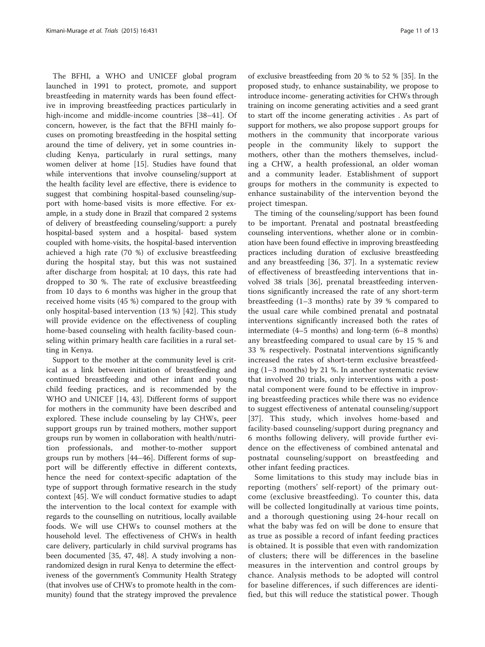The BFHI, a WHO and UNICEF global program launched in 1991 to protect, promote, and support breastfeeding in maternity wards has been found effective in improving breastfeeding practices particularly in high-income and middle-income countries [[38](#page-12-0)–[41](#page-12-0)]. Of concern, however, is the fact that the BFHI mainly focuses on promoting breastfeeding in the hospital setting around the time of delivery, yet in some countries including Kenya, particularly in rural settings, many women deliver at home [[15](#page-11-0)]. Studies have found that while interventions that involve counseling/support at the health facility level are effective, there is evidence to suggest that combining hospital-based counseling/support with home-based visits is more effective. For example, in a study done in Brazil that compared 2 systems of delivery of breastfeeding counseling/support: a purely hospital-based system and a hospital- based system coupled with home-visits, the hospital-based intervention achieved a high rate (70 %) of exclusive breastfeeding during the hospital stay, but this was not sustained after discharge from hospital; at 10 days, this rate had dropped to 30 %. The rate of exclusive breastfeeding from 10 days to 6 months was higher in the group that received home visits (45 %) compared to the group with only hospital-based intervention (13 %) [[42](#page-12-0)]. This study will provide evidence on the effectiveness of coupling home-based counseling with health facility-based counseling within primary health care facilities in a rural setting in Kenya.

Support to the mother at the community level is critical as a link between initiation of breastfeeding and continued breastfeeding and other infant and young child feeding practices, and is recommended by the WHO and UNICEF [[14,](#page-11-0) [43](#page-12-0)]. Different forms of support for mothers in the community have been described and explored. These include counseling by lay CHWs, peer support groups run by trained mothers, mother support groups run by women in collaboration with health/nutrition professionals, and mother-to-mother support groups run by mothers [\[44](#page-12-0)–[46](#page-12-0)]. Different forms of support will be differently effective in different contexts, hence the need for context-specific adaptation of the type of support through formative research in the study context [[45](#page-12-0)]. We will conduct formative studies to adapt the intervention to the local context for example with regards to the counselling on nutritious, locally available foods. We will use CHWs to counsel mothers at the household level. The effectiveness of CHWs in health care delivery, particularly in child survival programs has been documented [[35](#page-12-0), [47, 48](#page-12-0)]. A study involving a nonrandomized design in rural Kenya to determine the effectiveness of the government's Community Health Strategy (that involves use of CHWs to promote health in the community) found that the strategy improved the prevalence

of exclusive breastfeeding from 20 % to 52 % [[35](#page-12-0)]. In the proposed study, to enhance sustainability, we propose to introduce income- generating activities for CHWs through training on income generating activities and a seed grant to start off the income generating activities . As part of support for mothers, we also propose support groups for mothers in the community that incorporate various people in the community likely to support the mothers, other than the mothers themselves, including a CHW, a health professional, an older woman and a community leader. Establishment of support groups for mothers in the community is expected to enhance sustainability of the intervention beyond the project timespan.

The timing of the counseling/support has been found to be important. Prenatal and postnatal breastfeeding counseling interventions, whether alone or in combination have been found effective in improving breastfeeding practices including duration of exclusive breastfeeding and any breastfeeding [[36, 37](#page-12-0)]. In a systematic review of effectiveness of breastfeeding interventions that involved 38 trials [[36\]](#page-12-0), prenatal breastfeeding interventions significantly increased the rate of any short-term breastfeeding (1–3 months) rate by 39 % compared to the usual care while combined prenatal and postnatal interventions significantly increased both the rates of intermediate (4–5 months) and long-term (6–8 months) any breastfeeding compared to usual care by 15 % and 33 % respectively. Postnatal interventions significantly increased the rates of short-term exclusive breastfeeding (1–3 months) by 21 %. In another systematic review that involved 20 trials, only interventions with a postnatal component were found to be effective in improving breastfeeding practices while there was no evidence to suggest effectiveness of antenatal counseling/support [[37\]](#page-12-0). This study, which involves home-based and facility-based counseling/support during pregnancy and 6 months following delivery, will provide further evidence on the effectiveness of combined antenatal and postnatal counseling/support on breastfeeding and other infant feeding practices.

Some limitations to this study may include bias in reporting (mothers' self-report) of the primary outcome (exclusive breastfeeding). To counter this, data will be collected longitudinally at various time points, and a thorough questioning using 24-hour recall on what the baby was fed on will be done to ensure that as true as possible a record of infant feeding practices is obtained. It is possible that even with randomization of clusters; there will be differences in the baseline measures in the intervention and control groups by chance. Analysis methods to be adopted will control for baseline differences, if such differences are identified, but this will reduce the statistical power. Though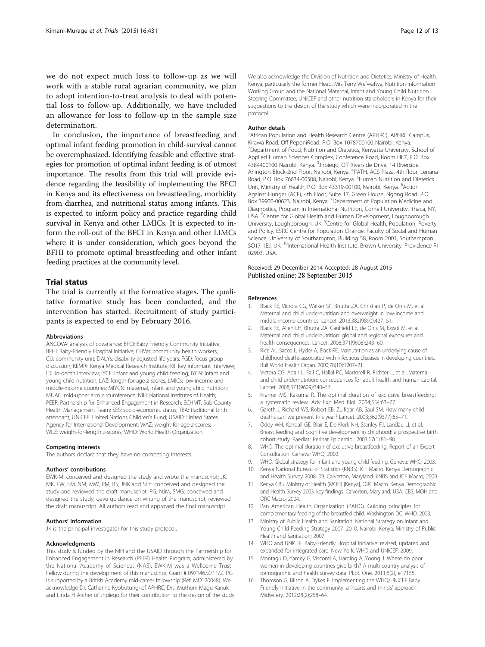<span id="page-11-0"></span>we do not expect much loss to follow-up as we will work with a stable rural agrarian community, we plan to adopt intention-to-treat analysis to deal with potential loss to follow-up. Additionally, we have included an allowance for loss to follow-up in the sample size determination.

In conclusion, the importance of breastfeeding and optimal infant feeding promotion in child-survival cannot be overemphasized. Identifying feasible and effective strategies for promotion of optimal infant feeding is of utmost importance. The results from this trial will provide evidence regarding the feasibility of implementing the BFCI in Kenya and its effectiveness on breastfeeding, morbidity from diarrhea, and nutritional status among infants. This is expected to inform policy and practice regarding child survival in Kenya and other LMICs. It is expected to inform the roll-out of the BFCI in Kenya and other LIMCs where it is under consideration, which goes beyond the BFHI to promote optimal breastfeeding and other infant feeding practices at the community level.

#### Trial status

The trial is currently at the formative stages. The qualitative formative study has been conducted, and the intervention has started. Recruitment of study participants is expected to end by February 2016.

#### Abbreviations

ANCOVA: analysis of covariance; BFCI: Baby Friendly Community Initiative; BFHI: Baby-Friendly Hospital Initiative; CHWs: community health workers; CU: community unit; DALYs: disability-adjusted life years; FGD: focus group discussion; KEMRI: Kenya Medical Research Institute; KII: key informant interview; IDI: in-depth interview; IYCF: infant and young child feeding; IYCN: infant and young child nutrition; LAZ: length-for-age z-scores; LMICs: low-income and middle-income countries; MIYCN: maternal, infant and young child nutrition; MUAC: mid-upper arm circumference; NIH: National Institutes of Health; PEER: Partnership for Enhanced Engagement in Research; SCHMT: Sub-County Health Management Team; SES: socio-economic status; TBA: traditional birth attendant; UNICEF: United Nations Children's Fund; USAID: United States Agency for International Development; WAZ: weight-for-age z-scores; WLZ: weight-for-length z-scores; WHO: World Health Organization.

#### Competing interests

The authors declare that they have no competing interests.

#### Authors' contributions

EWK-M: conceived and designed the study and wrote the manuscript; JK, MK, FW, EM, NM, MW, PM, BS, JNK and SLY: conceived and designed the study and reviewed the draft manuscript; PG, NJM, SMG: conceived and designed the study, gave guidance on writing of the manuscript, reviewed the draft manuscript. All authors read and approved the final manuscript.

#### Authors' information

JK is the principal investigator for this study protocol.

#### Acknowledgments

This study is funded by the NIH and the USAID through the Partnership for Enhanced Engagement in Research (PEER) Health Program, administered by the National Academy of Sciences (NAS). EWK-M was a Wellcome Trust Fellow during the development of this manuscript, Grant # 097146/Z/11/Z. PG is supported by a British Academy mid-career fellowship (Ref: MD120048). We acknowledge Dr. Catherine Kyobutungi of APHRC, Drs. Muthoni Magu-Kariuki and Linda H Archer of Jhpiego for their contribution to the design of the study.

We also acknowledge the Division of Nutrition and Dietetics, Ministry of Health, Kenya, particularly the former Head, Mrs Terry Wefwafwa, Nutrition Information Working Group and the National Maternal, Infant and Young Child Nutrition Steering Committee, UNICEF and other nutrition stakeholders in Kenya for their suggestions to the design of the study which were incorporated in the protocol.

#### Author details

<sup>1</sup> African Population and Health Research Centre (APHRC), APHRC Campus, Kirawa Road, Off PeponiRoad, P.O. Box 1078700100 Nairobi, Kenya. <sup>2</sup>Department of Food, Nutrition and Dietetics, Kenyatta University, School of Applied Human Sciences Complex, Conference Road, Room HE7, P.O. Box 4384400100 Nairobi, Kenya. <sup>3</sup>Jhpiego, Off Riverside Drive, 14 Riverside, Arlington Block-2nd Floor, Nairobi, Kenya. <sup>4</sup>PATH, ACS Plaza, 4th floor, Lenana Road, P.O. Box 76634-00508, Nairobi, Kenya. <sup>5</sup>Human Nutrition and Dietetics Unit, Ministry of Health, P.O. Box 43319-00100, Nairobi, Kenya. <sup>6</sup>Action Against Hunger (ACF), 4th Floor, Suite 17, Green House, Ngong Road, P.O. Box 39900-00623, Nairobi, Kenya. <sup>7</sup>Department of Population Medicine and Diagnostics, Program in International Nutrition, Cornell University, Ithaca, NY, USA. <sup>8</sup>Centre for Global Health and Human Development, Loughborough University, Loughborough, UK. <sup>9</sup>Centre for Global Health, Population, Poverty and Policy, ESRC Centre for Population Change, Faculty of Social and Human Science, University of Southampton, Building 58, Room 2001, Southampton SO17 1BJ, UK.<sup>10</sup>International Health Institute, Brown University, Providence RI 02903, USA.

#### Received: 29 December 2014 Accepted: 28 August 2015 Published online: 28 September 2015

#### References

- 1. Black RE, Victora CG, Walker SP, Bhutta ZA, Christian P, de Onis M, et al. Maternal and child undernutrition and overweight in low-income and middle-income countries. Lancet. 2013;382(9890):427–51.
- 2. Black RE, Allen LH, Bhutta ZA, Caulfield LE, de Onis M, Ezzati M, et al. Maternal and child undernutrition: global and regional exposures and health consequences. Lancet. 2008;371(9608):243–60.
- 3. Rice AL, Sacco L, Hyder A, Black RE. Malnutrition as an underlying cause of childhood deaths associated with infectious diseases in developing countries. Bull World Health Organ. 2000;78(10):1207–21.
- 4. Victora CG, Adair L, Fall C, Hallal PC, Martorell R, Richter L, et al. Maternal and child undernutrition: consequences for adult health and human capital. Lancet. 2008;371(9609):340–57.
- 5. Kramer MS, Kakuma R. The optimal duration of exclusive breastfeeding: a systematic review. Adv Exp Med Biol. 2004;554:63–77.
- 6. Gareth J, Richard WS, Robert EB, Zulfiqar AB, Saul SM. How many child deaths can we prevent this year? Lancet. 2003;362(9377):65–71.
- 7. Oddy WH, Kendall GE, Blair E, De Klerk NH, Stanley FJ, Landau LI, et al. Breast feeding and cognitive development in childhood: a prospective birth cohort study. Paediatr Perinat Epidemiol. 2003;17(1):81–90.
- 8. WHO. The optimal duration of exclusive breastfeeding. Report of an Expert Consultation. Geneva: WHO; 2002.
- 9. WHO. Global strategy for infant and young child feeding. Geneva: WHO; 2003.
- 10. Kenya National Bureau of Statistics (KNBS). ICF Macro. Kenya Demographic and Health Survey 2008–09. Calverton, Maryland: KNBS and ICF Macro; 2009.
- 11. Kenya CBS. Ministry of Health (MOH) [Kenya], ORC Macro. Kenya Demographic and Health Survey 2003: key findings. Calverton, Maryland, USA: CBS, MOH and ORC Macro; 2004.
- 12. Pan American Health Organization (PAHO). Guiding principles for complementary feeding of the breastfed child. Washington DC: WHO; 2003.
- 13. Ministry of Public Health and Sanitation. National Strategy on Infant and Young Child Feeding Strategy 2007–2010. Nairobi. Kenya: Ministry of Public Health and Sanitation; 2007.
- 14. WHO and UNICEF. Baby-Friendly Hospital Initiative: revised, updated and expanded for integrated care. New York: WHO and UNICEF; 2009.
- 15. Montagu D, Yamey G, Visconti A, Harding A, Yoong J. Where do poor women in developing countries give birth? A multi-country analysis of demographic and health survey data. PLoS One. 2011;6(2), e17155.
- 16. Thomson G, Bilson A, Dykes F. Implementing the WHO/UNICEF Baby Friendly Initiative in the community: a 'hearts and minds' approach. Midwifery. 2012;28(2):258–64.